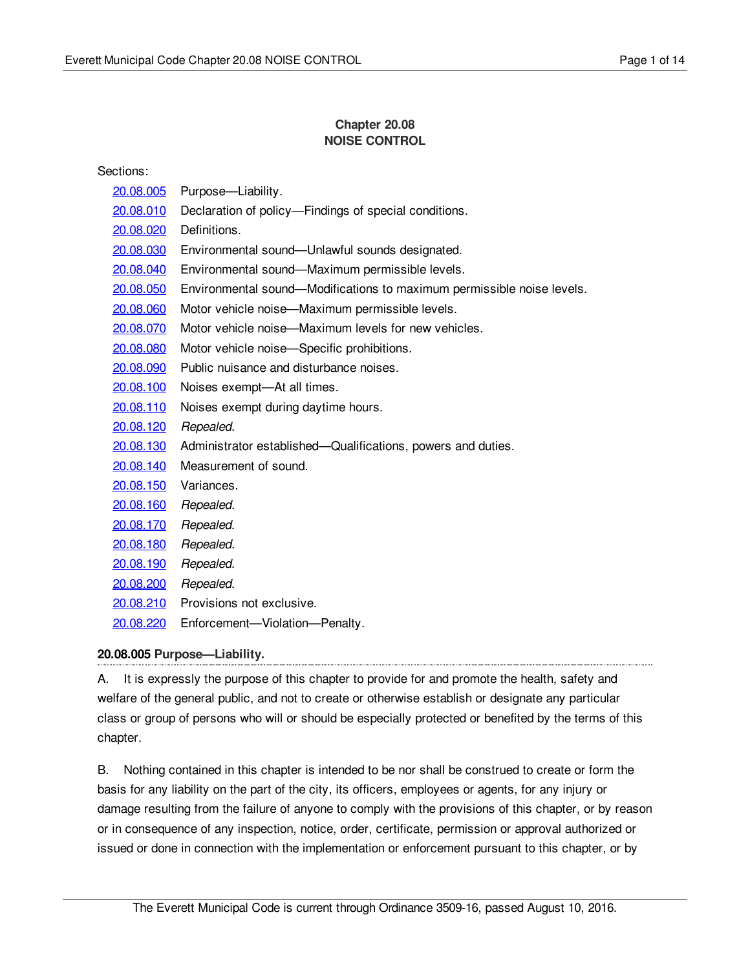## **Chapter 20.08 NOISE CONTROL**

| Sections:         |                                                                        |
|-------------------|------------------------------------------------------------------------|
| <u> 20.08.005</u> | Purpose—Liability.                                                     |
| 20.08.010         | Declaration of policy—Findings of special conditions.                  |
| 20.08.020         | Definitions.                                                           |
| <u> 20.08.030</u> | Environmental sound-Unlawful sounds designated.                        |
| 20.08.040         | Environmental sound-Maximum permissible levels.                        |
| 20.08.050         | Environmental sound—Modifications to maximum permissible noise levels. |
| 20.08.060         | Motor vehicle noise—Maximum permissible levels.                        |
| 20.08.070         | Motor vehicle noise—Maximum levels for new vehicles.                   |
| 20.08.080         | Motor vehicle noise-Specific prohibitions.                             |
| 20.08.090         | Public nuisance and disturbance noises.                                |
| 20.08.100         | Noises exempt-At all times.                                            |
| 20.08.110         | Noises exempt during daytime hours.                                    |
| 20.08.120         | Repealed.                                                              |
| 20.08.130         | Administrator established—Qualifications, powers and duties.           |
| 20.08.140         | Measurement of sound.                                                  |
| 20.08.150         | Variances.                                                             |
| 20.08.160         | Repealed.                                                              |
| 20.08.170         | Repealed.                                                              |
| 20.08.180         | Repealed.                                                              |
| <u> 20.08.190</u> | Repealed.                                                              |
| 20.08.200         | Repealed.                                                              |
| 20.08.210         | Provisions not exclusive.                                              |
| 20.08.220         | Enforcement-Violation-Penalty.                                         |

## <span id="page-0-0"></span>**20.08.005 Purpose—Liability.**

A. It is expressly the purpose of this chapter to provide for and promote the health, safety and welfare of the general public, and not to create or otherwise establish or designate any particular class or group of persons who will or should be especially protected or benefited by the terms of this chapter.

B. Nothing contained in this chapter is intended to be nor shall be construed to create or form the basis for any liability on the part of the city, its officers, employees or agents, for any injury or damage resulting from the failure of anyone to comply with the provisions of this chapter, or by reason or in consequence of any inspection, notice, order, certificate, permission or approval authorized or issued or done in connection with the implementation or enforcement pursuant to this chapter, or by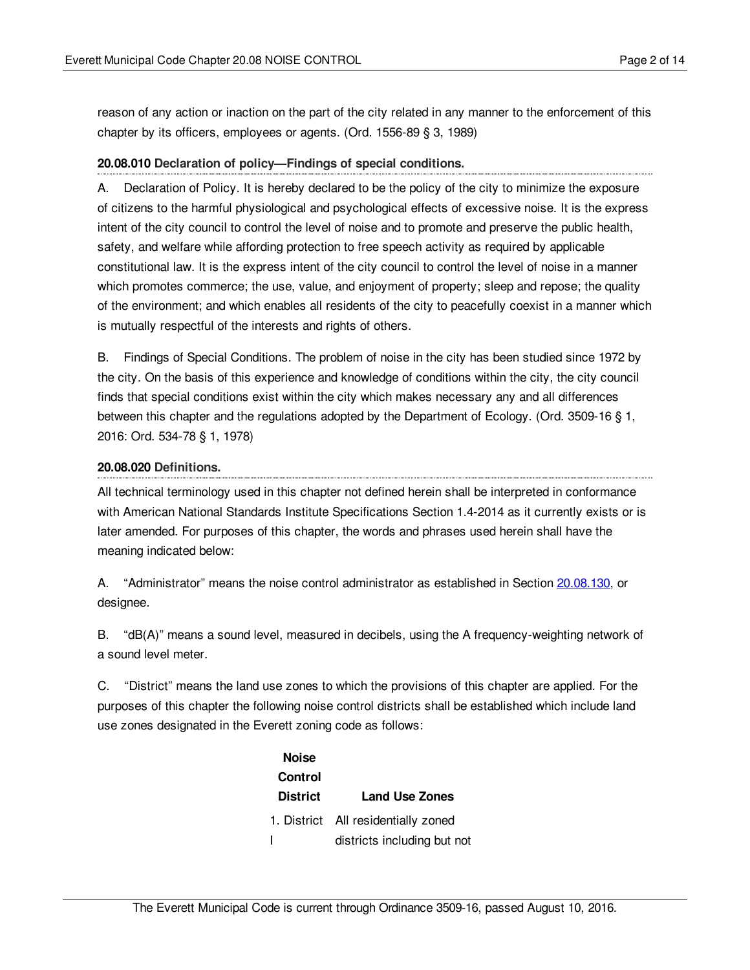reason of any action or inaction on the part of the city related in any manner to the enforcement of this chapter by its officers, employees or agents. (Ord. 1556-89 § 3, 1989)

### <span id="page-1-0"></span>**20.08.010 Declaration of policy—Findings of special conditions.**

A. Declaration of Policy. It is hereby declared to be the policy of the city to minimize the exposure of citizens to the harmful physiological and psychological effects of excessive noise. It is the express intent of the city council to control the level of noise and to promote and preserve the public health, safety, and welfare while affording protection to free speech activity as required by applicable constitutional law. It is the express intent of the city council to control the level of noise in a manner which promotes commerce; the use, value, and enjoyment of property; sleep and repose; the quality of the environment; and which enables all residents of the city to peacefully coexist in a manner which is mutually respectful of the interests and rights of others.

B. Findings of Special Conditions. The problem of noise in the city has been studied since 1972 by the city. On the basis of this experience and knowledge of conditions within the city, the city council finds that special conditions exist within the city which makes necessary any and all differences between this chapter and the regulations adopted by the Department of Ecology. (Ord. 3509-16 § 1, 2016: Ord. 534-78 § 1, 1978)

### <span id="page-1-1"></span>**20.08.020 Definitions.**

All technical terminology used in this chapter not defined herein shall be interpreted in conformance with American National Standards Institute Specifications Section 1.4-2014 as it currently exists or is later amended. For purposes of this chapter, the words and phrases used herein shall have the meaning indicated below:

A. "Administrator" means the noise control administrator as established in Section [20.08.130](#page-9-1), or designee.

B. "dB(A)" means a sound level, measured in decibels, using the A frequency-weighting network of a sound level meter.

C. "District" means the land use zones to which the provisions of this chapter are applied. For the purposes of this chapter the following noise control districts shall be established which include land use zones designated in the Everett zoning code as follows:

| <b>Noise</b>    |                                     |
|-----------------|-------------------------------------|
| <b>Control</b>  |                                     |
| <b>District</b> | <b>Land Use Zones</b>               |
|                 | 1. District All residentially zoned |
|                 | districts including but not         |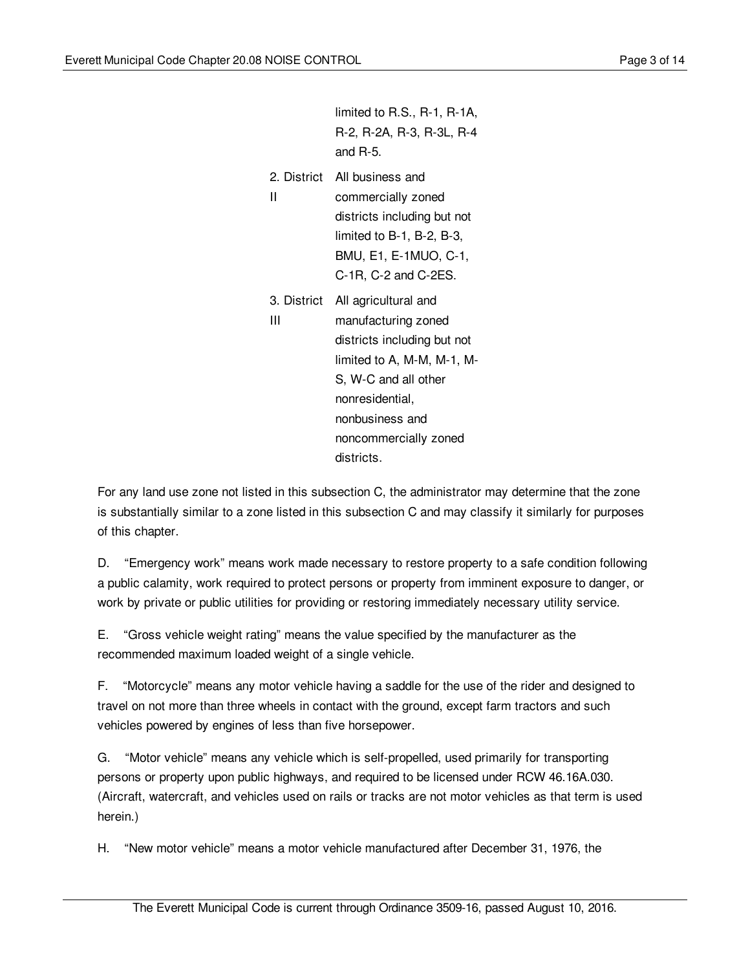|   | limited to R.S., R-1, R-1A,<br>R-2, R-2A, R-3, R-3L, R-4<br>and $R-5$ .                                                                                                                                                   |
|---|---------------------------------------------------------------------------------------------------------------------------------------------------------------------------------------------------------------------------|
| Ш | 2. District All business and<br>commercially zoned<br>districts including but not<br>limited to B-1, B-2, B-3,<br>BMU, E1, E-1MUO, C-1,<br>$C-1R$ , $C-2$ and $C-2ES$ .                                                   |
| Ш | 3. District All agricultural and<br>manufacturing zoned<br>districts including but not<br>limited to A, M-M, M-1, M-<br>S, W-C and all other<br>nonresidential,<br>nonbusiness and<br>noncommercially zoned<br>districts. |

For any land use zone not listed in this subsection C, the administrator may determine that the zone is substantially similar to a zone listed in this subsection C and may classify it similarly for purposes of this chapter.

D. "Emergency work" means work made necessary to restore property to a safe condition following a public calamity, work required to protect persons or property from imminent exposure to danger, or work by private or public utilities for providing or restoring immediately necessary utility service.

E. "Gross vehicle weight rating" means the value specified by the manufacturer as the recommended maximum loaded weight of a single vehicle.

F. "Motorcycle" means any motor vehicle having a saddle for the use of the rider and designed to travel on not more than three wheels in contact with the ground, except farm tractors and such vehicles powered by engines of less than five horsepower.

G. "Motor vehicle" means any vehicle which is self-propelled, used primarily for transporting persons or property upon public highways, and required to be licensed under RCW 46.16A.030. (Aircraft, watercraft, and vehicles used on rails or tracks are not motor vehicles as that term is used herein.)

H. "New motor vehicle" means a motor vehicle manufactured after December 31, 1976, the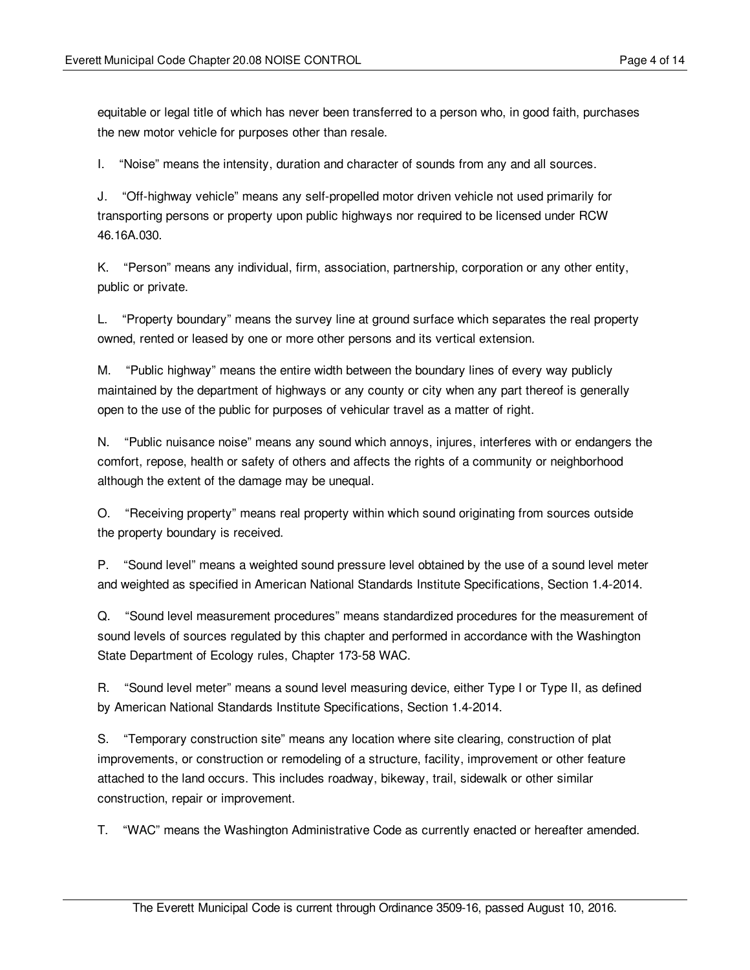equitable or legal title of which has never been transferred to a person who, in good faith, purchases the new motor vehicle for purposes other than resale.

I. "Noise" means the intensity, duration and character of sounds from any and all sources.

J. "Off-highway vehicle" means any self-propelled motor driven vehicle not used primarily for transporting persons or property upon public highways nor required to be licensed under RCW 46.16A.030.

K. "Person" means any individual, firm, association, partnership, corporation or any other entity, public or private.

L. "Property boundary" means the survey line at ground surface which separates the real property owned, rented or leased by one or more other persons and its vertical extension.

M. "Public highway" means the entire width between the boundary lines of every way publicly maintained by the department of highways or any county or city when any part thereof is generally open to the use of the public for purposes of vehicular travel as a matter of right.

N. "Public nuisance noise" means any sound which annoys, injures, interferes with or endangers the comfort, repose, health or safety of others and affects the rights of a community or neighborhood although the extent of the damage may be unequal.

O. "Receiving property" means real property within which sound originating from sources outside the property boundary is received.

P. "Sound level" means a weighted sound pressure level obtained by the use of a sound level meter and weighted as specified in American National Standards Institute Specifications, Section 1.4-2014.

Q. "Sound level measurement procedures" means standardized procedures for the measurement of sound levels of sources regulated by this chapter and performed in accordance with the Washington State Department of Ecology rules, Chapter 173-58 WAC.

R. "Sound level meter" means a sound level measuring device, either Type I or Type II, as defined by American National Standards Institute Specifications, Section 1.4-2014.

S. "Temporary construction site" means any location where site clearing, construction of plat improvements, or construction or remodeling of a structure, facility, improvement or other feature attached to the land occurs. This includes roadway, bikeway, trail, sidewalk or other similar construction, repair or improvement.

T. "WAC" means the Washington Administrative Code as currently enacted or hereafter amended.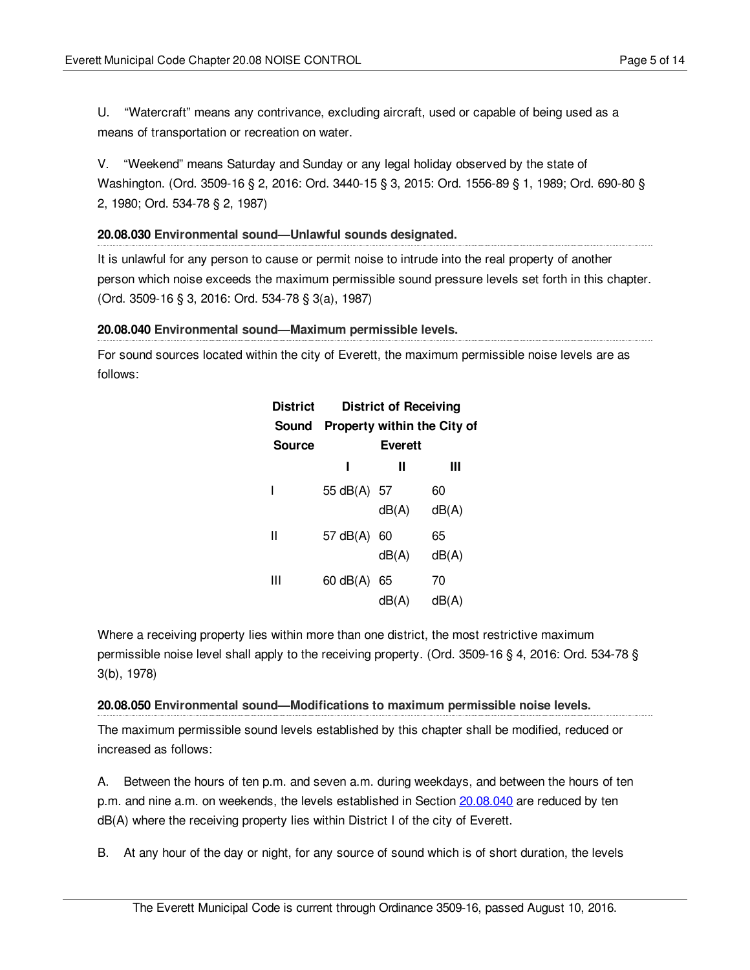U. "Watercraft" means any contrivance, excluding aircraft, used or capable of being used as a means of transportation or recreation on water.

V. "Weekend" means Saturday and Sunday or any legal holiday observed by the state of Washington. (Ord. 3509-16 § 2, 2016: Ord. 3440-15 § 3, 2015: Ord. 1556-89 § 1, 1989; Ord. 690-80 § 2, 1980; Ord. 534-78 § 2, 1987)

## <span id="page-4-0"></span>**20.08.030 Environmental sound—Unlawful sounds designated.**

It is unlawful for any person to cause or permit noise to intrude into the real property of another person which noise exceeds the maximum permissible sound pressure levels set forth in this chapter. (Ord. 3509-16 § 3, 2016: Ord. 534-78 § 3(a), 1987)

## <span id="page-4-1"></span>**20.08.040 Environmental sound—Maximum permissible levels.**

For sound sources located within the city of Everett, the maximum permissible noise levels are as follows:

| District<br>Sound |                | District of Receiving | Property within the City of |
|-------------------|----------------|-----------------------|-----------------------------|
| <b>Source</b>     | <b>Everett</b> |                       |                             |
|                   | ı              | Ш                     | Ш                           |
|                   | 55 dB(A) 57    |                       | 60                          |
|                   |                | dB(A)                 | dB(A)                       |
| Ш                 | 57 dB(A) 60    |                       | 65                          |
|                   |                | dB(A)                 | dB(A)                       |
| Ш                 | $60$ dB $(A)$  | - 65                  | 70                          |
|                   |                | dB(A)                 | dB(A)                       |

Where a receiving property lies within more than one district, the most restrictive maximum permissible noise level shall apply to the receiving property. (Ord. 3509-16 § 4, 2016: Ord. 534-78 § 3(b), 1978)

## <span id="page-4-2"></span>**20.08.050 Environmental sound—Modifications to maximum permissible noise levels.**

The maximum permissible sound levels established by this chapter shall be modified, reduced or increased as follows:

A. Between the hours of ten p.m. and seven a.m. during weekdays, and between the hours of ten p.m. and nine a.m. on weekends, the levels established in Section [20.08.040](#page-4-1) are reduced by ten dB(A) where the receiving property lies within District I of the city of Everett.

B. At any hour of the day or night, for any source of sound which is of short duration, the levels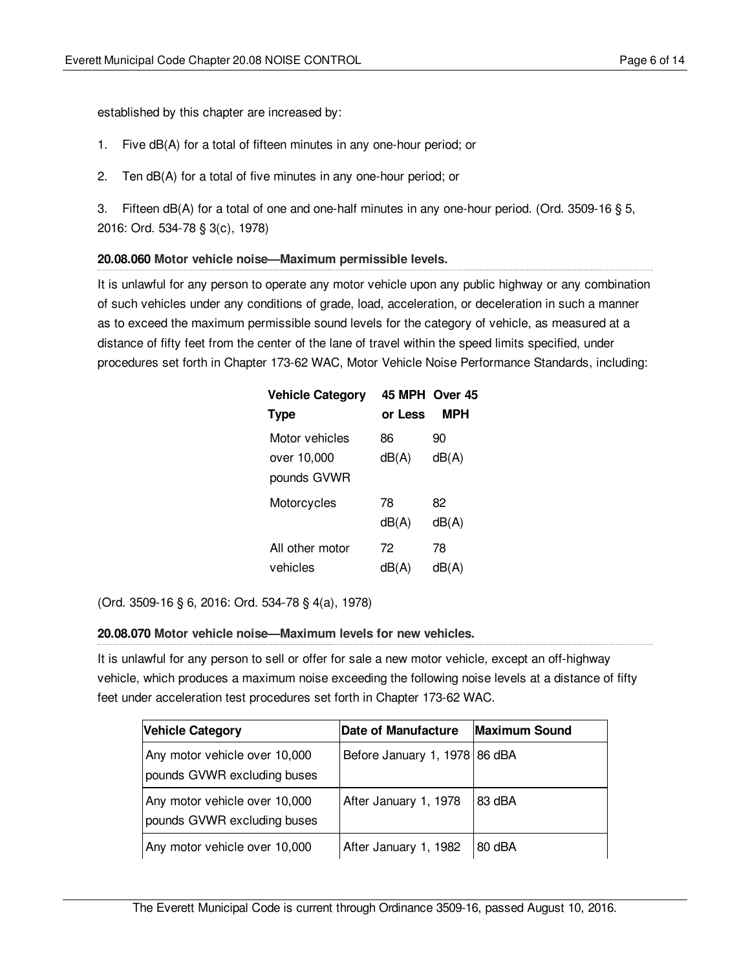established by this chapter are increased by:

- 1. Five dB(A) for a total of fifteen minutes in any one-hour period; or
- 2. Ten dB(A) for a total of five minutes in any one-hour period; or

3. Fifteen dB(A) for a total of one and one-half minutes in any one-hour period. (Ord. 3509-16 § 5, 2016: Ord. 534-78 § 3(c), 1978)

## <span id="page-5-0"></span>**20.08.060 Motor vehicle noise—Maximum permissible levels.**

It is unlawful for any person to operate any motor vehicle upon any public highway or any combination of such vehicles under any conditions of grade, load, acceleration, or deceleration in such a manner as to exceed the maximum permissible sound levels for the category of vehicle, as measured at a distance of fifty feet from the center of the lane of travel within the speed limits specified, under procedures set forth in Chapter 173-62 WAC, Motor Vehicle Noise Performance Standards, including:

| <b>Vehicle Category</b> |         | 45 MPH Over 45 |
|-------------------------|---------|----------------|
| <b>Type</b>             | or Less | MPH            |
| Motor vehicles          | 86      | 90             |
| over 10,000             | dB(A)   | dB(A)          |
| pounds GVWR             |         |                |
| Motorcycles             | 78      | 82             |
|                         | dB(A)   | dB(A)          |
| All other motor         | 72      | 78             |
| vehicles                | dB(A)   | dB(A)          |

(Ord. 3509-16 § 6, 2016: Ord. 534-78 § 4(a), 1978)

## <span id="page-5-1"></span>**20.08.070 Motor vehicle noise—Maximum levels for new vehicles.**

It is unlawful for any person to sell or offer for sale a new motor vehicle, except an off-highway vehicle, which produces a maximum noise exceeding the following noise levels at a distance of fifty feet under acceleration test procedures set forth in Chapter 173-62 WAC.

| <b>Vehicle Category</b>                                      | Date of Manufacture           | <b>Maximum Sound</b> |
|--------------------------------------------------------------|-------------------------------|----------------------|
| Any motor vehicle over 10,000<br>pounds GVWR excluding buses | Before January 1, 1978 86 dBA |                      |
| Any motor vehicle over 10,000<br>pounds GVWR excluding buses | After January 1, 1978         | 83 dBA               |
| Any motor vehicle over 10,000                                | After January 1, 1982         | 80 dBA               |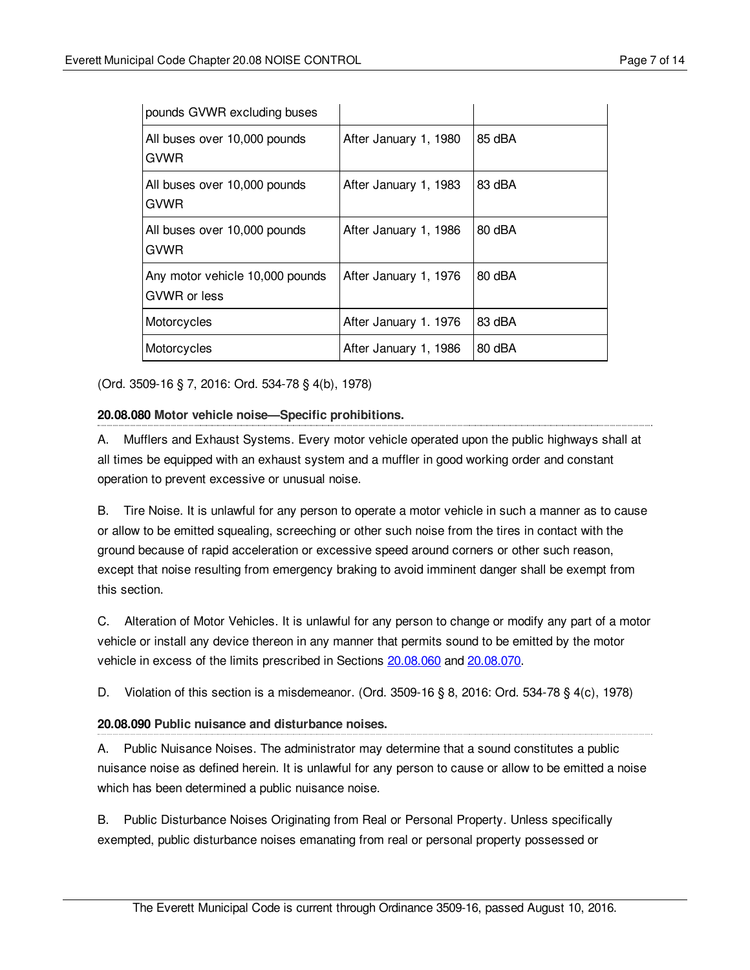| pounds GVWR excluding buses                     |                       |        |
|-------------------------------------------------|-----------------------|--------|
| All buses over 10,000 pounds<br>GVWR            | After January 1, 1980 | 85 dBA |
| All buses over 10,000 pounds<br>GVWR            | After January 1, 1983 | 83 dBA |
| All buses over 10,000 pounds<br>GVWR            | After January 1, 1986 | 80 dBA |
| Any motor vehicle 10,000 pounds<br>GVWR or less | After January 1, 1976 | 80 dBA |
| Motorcycles                                     | After January 1. 1976 | 83 dBA |
| Motorcycles                                     | After January 1, 1986 | 80 dBA |

(Ord. 3509-16 § 7, 2016: Ord. 534-78 § 4(b), 1978)

## <span id="page-6-0"></span>**20.08.080 Motor vehicle noise—Specific prohibitions.**

A. Mufflers and Exhaust Systems. Every motor vehicle operated upon the public highways shall at all times be equipped with an exhaust system and a muffler in good working order and constant operation to prevent excessive or unusual noise.

B. Tire Noise. It is unlawful for any person to operate a motor vehicle in such a manner as to cause or allow to be emitted squealing, screeching or other such noise from the tires in contact with the ground because of rapid acceleration or excessive speed around corners or other such reason, except that noise resulting from emergency braking to avoid imminent danger shall be exempt from this section.

C. Alteration of Motor Vehicles. It is unlawful for any person to change or modify any part of a motor vehicle or install any device thereon in any manner that permits sound to be emitted by the motor vehicle in excess of the limits prescribed in Sections [20.08.060](#page-5-0) and [20.08.070](#page-5-1).

D. Violation of this section is a misdemeanor. (Ord. 3509-16 § 8, 2016: Ord. 534-78 § 4(c), 1978)

# <span id="page-6-1"></span>**20.08.090 Public nuisance and disturbance noises.**

A. Public Nuisance Noises. The administrator may determine that a sound constitutes a public nuisance noise as defined herein. It is unlawful for any person to cause or allow to be emitted a noise which has been determined a public nuisance noise.

B. Public Disturbance Noises Originating from Real or Personal Property. Unless specifically exempted, public disturbance noises emanating from real or personal property possessed or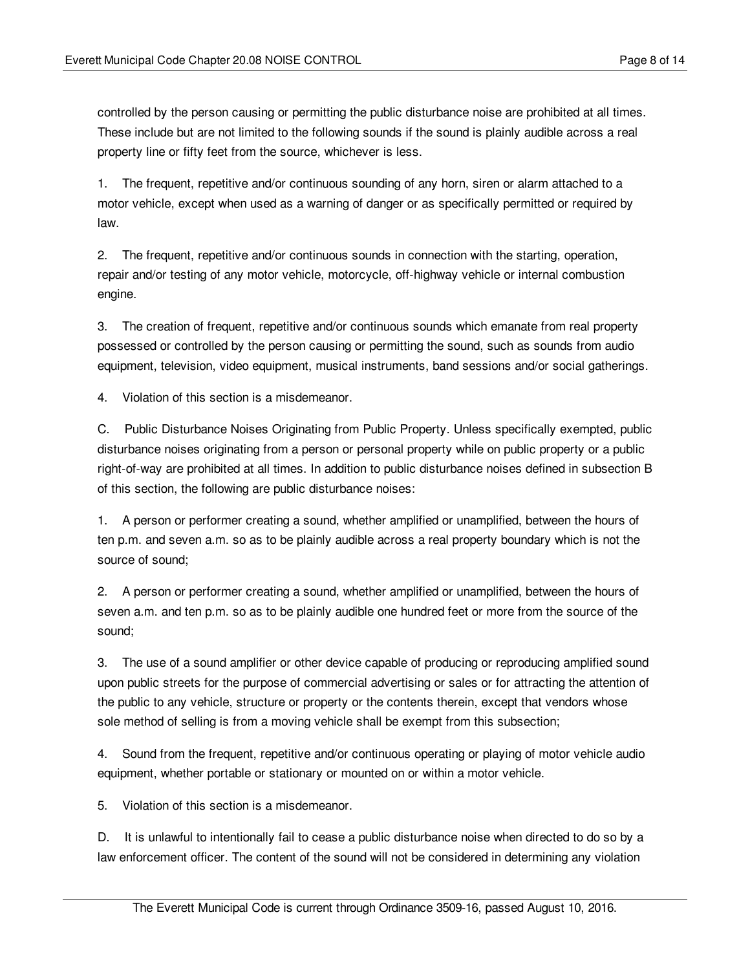controlled by the person causing or permitting the public disturbance noise are prohibited at all times. These include but are not limited to the following sounds if the sound is plainly audible across a real property line or fifty feet from the source, whichever is less.

1. The frequent, repetitive and/or continuous sounding of any horn, siren or alarm attached to a motor vehicle, except when used as a warning of danger or as specifically permitted or required by law.

2. The frequent, repetitive and/or continuous sounds in connection with the starting, operation, repair and/or testing of any motor vehicle, motorcycle, off-highway vehicle or internal combustion engine.

3. The creation of frequent, repetitive and/or continuous sounds which emanate from real property possessed or controlled by the person causing or permitting the sound, such as sounds from audio equipment, television, video equipment, musical instruments, band sessions and/or social gatherings.

4. Violation of this section is a misdemeanor.

C. Public Disturbance Noises Originating from Public Property. Unless specifically exempted, public disturbance noises originating from a person or personal property while on public property or a public right-of-way are prohibited at all times. In addition to public disturbance noises defined in subsection B of this section, the following are public disturbance noises:

1. A person or performer creating a sound, whether amplified or unamplified, between the hours of ten p.m. and seven a.m. so as to be plainly audible across a real property boundary which is not the source of sound;

2. A person or performer creating a sound, whether amplified or unamplified, between the hours of seven a.m. and ten p.m. so as to be plainly audible one hundred feet or more from the source of the sound;

3. The use of a sound amplifier or other device capable of producing or reproducing amplified sound upon public streets for the purpose of commercial advertising or sales or for attracting the attention of the public to any vehicle, structure or property or the contents therein, except that vendors whose sole method of selling is from a moving vehicle shall be exempt from this subsection;

4. Sound from the frequent, repetitive and/or continuous operating or playing of motor vehicle audio equipment, whether portable or stationary or mounted on or within a motor vehicle.

5. Violation of this section is a misdemeanor.

D. It is unlawful to intentionally fail to cease a public disturbance noise when directed to do so by a law enforcement officer. The content of the sound will not be considered in determining any violation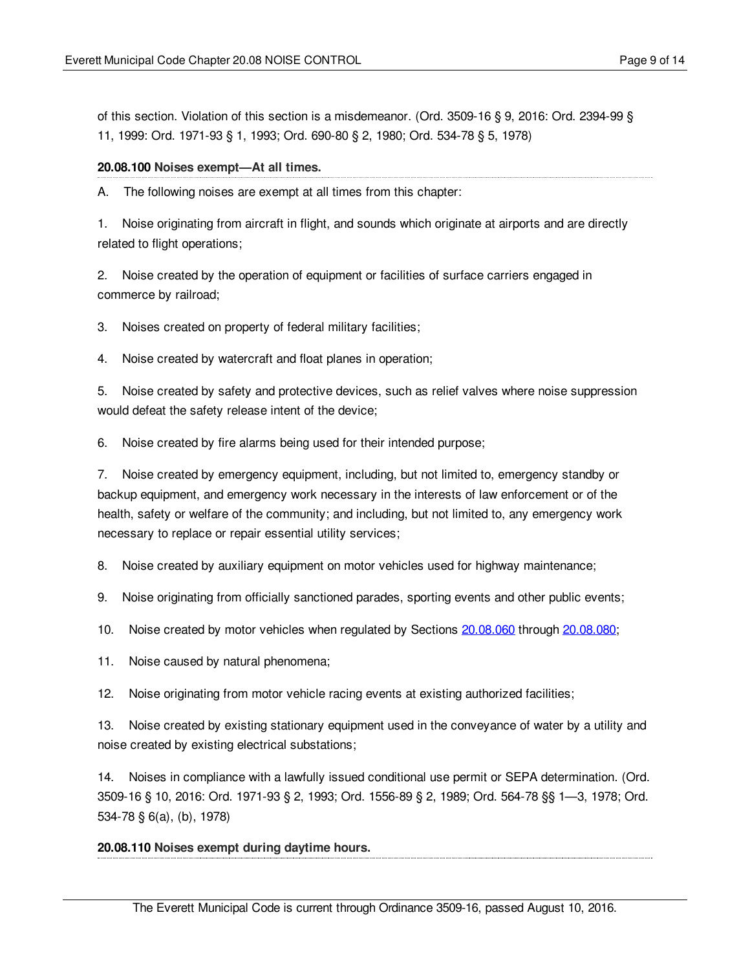of this section. Violation of this section is a misdemeanor. (Ord. 3509-16 § 9, 2016: Ord. 2394-99 § 11, 1999: Ord. 1971-93 § 1, 1993; Ord. 690-80 § 2, 1980; Ord. 534-78 § 5, 1978)

### <span id="page-8-0"></span>**20.08.100 Noises exempt—At all times.**

A. The following noises are exempt at all times from this chapter:

1. Noise originating from aircraft in flight, and sounds which originate at airports and are directly related to flight operations;

2. Noise created by the operation of equipment or facilities of surface carriers engaged in commerce by railroad;

3. Noises created on property of federal military facilities;

4. Noise created by watercraft and float planes in operation;

5. Noise created by safety and protective devices, such as relief valves where noise suppression would defeat the safety release intent of the device;

6. Noise created by fire alarms being used for their intended purpose;

7. Noise created by emergency equipment, including, but not limited to, emergency standby or backup equipment, and emergency work necessary in the interests of law enforcement or of the health, safety or welfare of the community; and including, but not limited to, any emergency work necessary to replace or repair essential utility services;

8. Noise created by auxiliary equipment on motor vehicles used for highway maintenance;

9. Noise originating from officially sanctioned parades, sporting events and other public events;

10. Noise created by motor vehicles when regulated by Sections [20.08.060](#page-5-0) through [20.08.080;](#page-6-0)

11. Noise caused by natural phenomena;

12. Noise originating from motor vehicle racing events at existing authorized facilities;

13. Noise created by existing stationary equipment used in the conveyance of water by a utility and noise created by existing electrical substations;

14. Noises in compliance with a lawfully issued conditional use permit or SEPA determination. (Ord. 3509-16 § 10, 2016: Ord. 1971-93 § 2, 1993; Ord. 1556-89 § 2, 1989; Ord. 564-78 §§ 1—3, 1978; Ord. 534-78 § 6(a), (b), 1978)

#### <span id="page-8-1"></span>**20.08.110 Noises exempt during daytime hours.**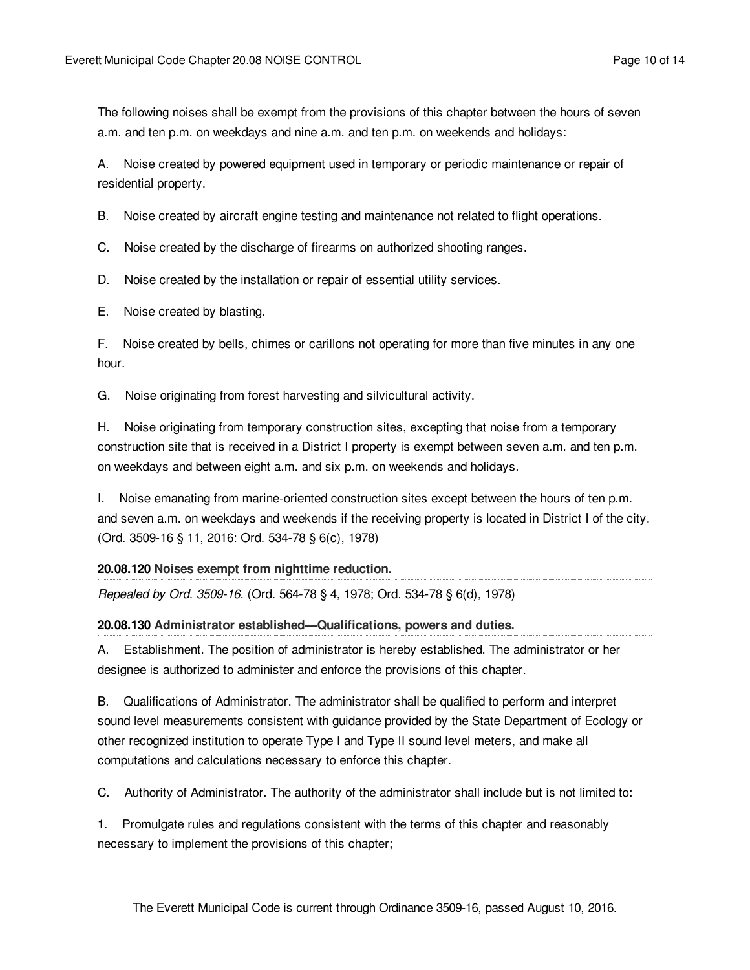The following noises shall be exempt from the provisions of this chapter between the hours of seven a.m. and ten p.m. on weekdays and nine a.m. and ten p.m. on weekends and holidays:

A. Noise created by powered equipment used in temporary or periodic maintenance or repair of residential property.

B. Noise created by aircraft engine testing and maintenance not related to flight operations.

C. Noise created by the discharge of firearms on authorized shooting ranges.

D. Noise created by the installation or repair of essential utility services.

E. Noise created by blasting.

F. Noise created by bells, chimes or carillons not operating for more than five minutes in any one hour.

G. Noise originating from forest harvesting and silvicultural activity.

H. Noise originating from temporary construction sites, excepting that noise from a temporary construction site that is received in a District I property is exempt between seven a.m. and ten p.m. on weekdays and between eight a.m. and six p.m. on weekends and holidays.

I. Noise emanating from marine-oriented construction sites except between the hours of ten p.m. and seven a.m. on weekdays and weekends if the receiving property is located in District I of the city. (Ord. 3509-16 § 11, 2016: Ord. 534-78 § 6(c), 1978)

# <span id="page-9-0"></span>**20.08.120 Noises exempt from nighttime reduction.**

*Repealed by Ord. 3509-16.* (Ord. 564-78 § 4, 1978; Ord. 534-78 § 6(d), 1978)

# <span id="page-9-1"></span>**20.08.130 Administrator established—Qualifications, powers and duties.**

A. Establishment. The position of administrator is hereby established. The administrator or her designee is authorized to administer and enforce the provisions of this chapter.

B. Qualifications of Administrator. The administrator shall be qualified to perform and interpret sound level measurements consistent with guidance provided by the State Department of Ecology or other recognized institution to operate Type I and Type II sound level meters, and make all computations and calculations necessary to enforce this chapter.

C. Authority of Administrator. The authority of the administrator shall include but is not limited to:

1. Promulgate rules and regulations consistent with the terms of this chapter and reasonably necessary to implement the provisions of this chapter;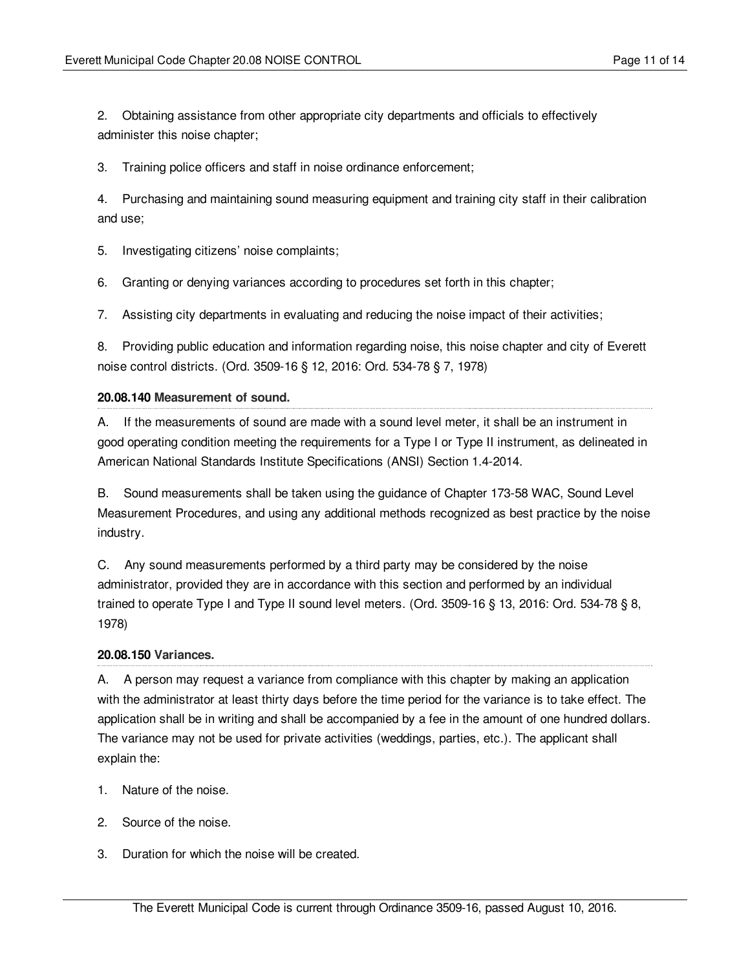2. Obtaining assistance from other appropriate city departments and officials to effectively administer this noise chapter;

3. Training police officers and staff in noise ordinance enforcement;

4. Purchasing and maintaining sound measuring equipment and training city staff in their calibration and use;

5. Investigating citizens' noise complaints;

6. Granting or denying variances according to procedures set forth in this chapter;

7. Assisting city departments in evaluating and reducing the noise impact of their activities;

8. Providing public education and information regarding noise, this noise chapter and city of Everett noise control districts. (Ord. 3509-16 § 12, 2016: Ord. 534-78 § 7, 1978)

## <span id="page-10-0"></span>**20.08.140 Measurement of sound.**

A. If the measurements of sound are made with a sound level meter, it shall be an instrument in good operating condition meeting the requirements for a Type I or Type II instrument, as delineated in American National Standards Institute Specifications (ANSI) Section 1.4-2014.

B. Sound measurements shall be taken using the guidance of Chapter 173-58 WAC, Sound Level Measurement Procedures, and using any additional methods recognized as best practice by the noise industry.

C. Any sound measurements performed by a third party may be considered by the noise administrator, provided they are in accordance with this section and performed by an individual trained to operate Type I and Type II sound level meters. (Ord. 3509-16 § 13, 2016: Ord. 534-78 § 8, 1978)

## <span id="page-10-1"></span>**20.08.150 Variances.**

A. A person may request a variance from compliance with this chapter by making an application with the administrator at least thirty days before the time period for the variance is to take effect. The application shall be in writing and shall be accompanied by a fee in the amount of one hundred dollars. The variance may not be used for private activities (weddings, parties, etc.). The applicant shall explain the:

- 1. Nature of the noise.
- 2. Source of the noise.
- 3. Duration for which the noise will be created.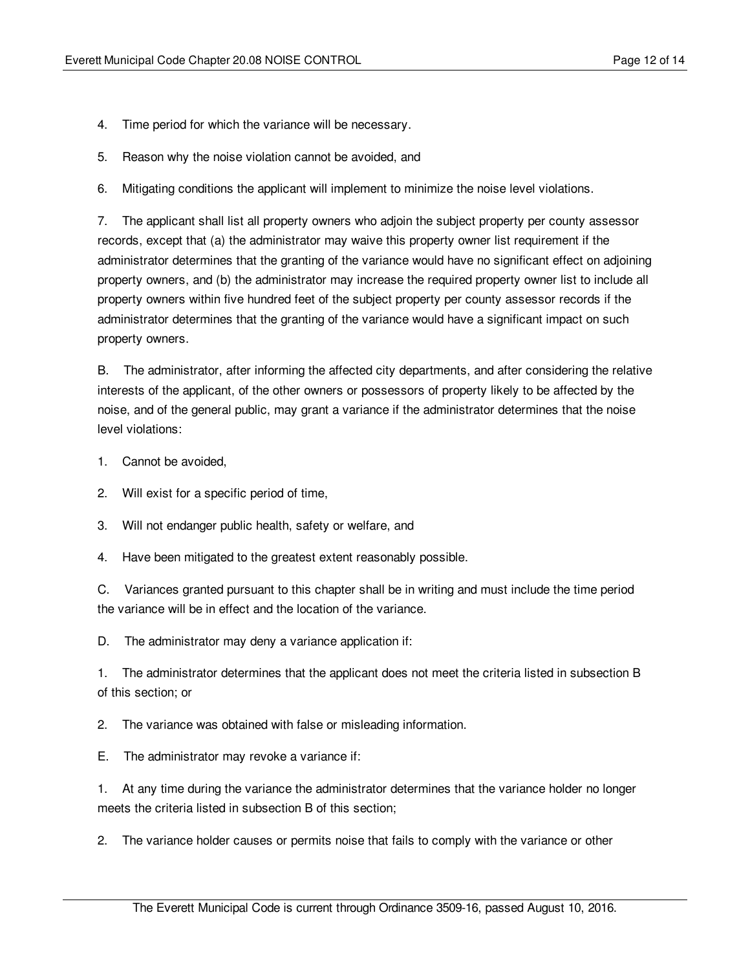- 4. Time period for which the variance will be necessary.
- 5. Reason why the noise violation cannot be avoided, and
- 6. Mitigating conditions the applicant will implement to minimize the noise level violations.

7. The applicant shall list all property owners who adjoin the subject property per county assessor records, except that (a) the administrator may waive this property owner list requirement if the administrator determines that the granting of the variance would have no significant effect on adjoining property owners, and (b) the administrator may increase the required property owner list to include all property owners within five hundred feet of the subject property per county assessor records if the administrator determines that the granting of the variance would have a significant impact on such property owners.

B. The administrator, after informing the affected city departments, and after considering the relative interests of the applicant, of the other owners or possessors of property likely to be affected by the noise, and of the general public, may grant a variance if the administrator determines that the noise level violations:

- 1. Cannot be avoided,
- 2. Will exist for a specific period of time,
- 3. Will not endanger public health, safety or welfare, and
- 4. Have been mitigated to the greatest extent reasonably possible.

C. Variances granted pursuant to this chapter shall be in writing and must include the time period the variance will be in effect and the location of the variance.

D. The administrator may deny a variance application if:

1. The administrator determines that the applicant does not meet the criteria listed in subsection B of this section; or

2. The variance was obtained with false or misleading information.

E. The administrator may revoke a variance if:

1. At any time during the variance the administrator determines that the variance holder no longer meets the criteria listed in subsection B of this section;

2. The variance holder causes or permits noise that fails to comply with the variance or other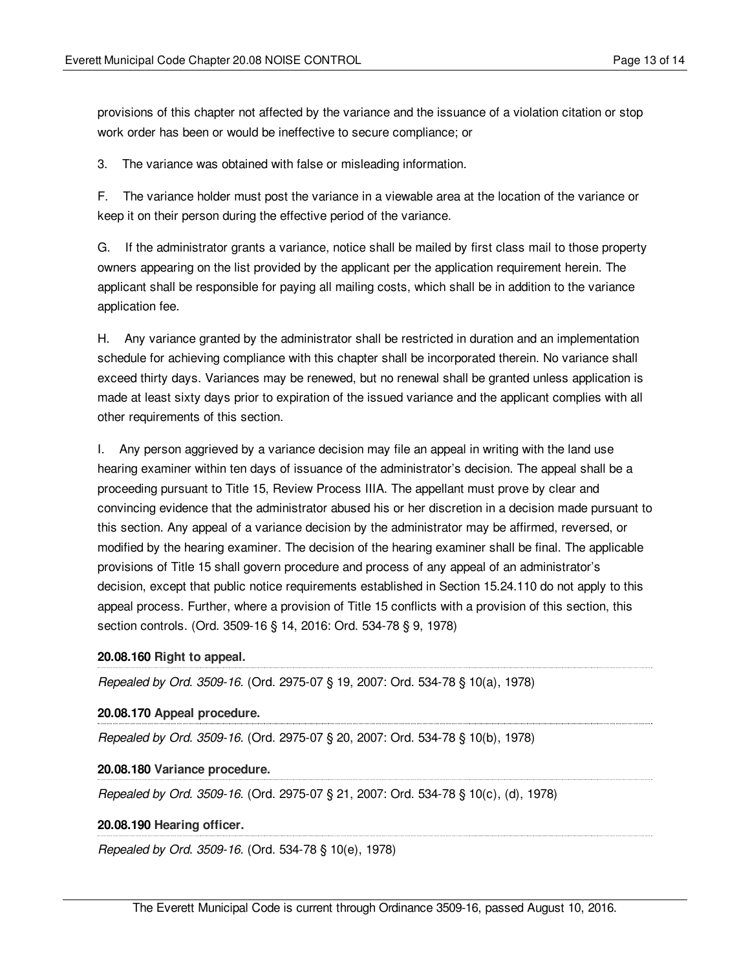provisions of this chapter not affected by the variance and the issuance of a violation citation or stop work order has been or would be ineffective to secure compliance; or

3. The variance was obtained with false or misleading information.

F. The variance holder must post the variance in a viewable area at the location of the variance or keep it on their person during the effective period of the variance.

G. If the administrator grants a variance, notice shall be mailed by first class mail to those property owners appearing on the list provided by the applicant per the application requirement herein. The applicant shall be responsible for paying all mailing costs, which shall be in addition to the variance application fee.

H. Any variance granted by the administrator shall be restricted in duration and an implementation schedule for achieving compliance with this chapter shall be incorporated therein. No variance shall exceed thirty days. Variances may be renewed, but no renewal shall be granted unless application is made at least sixty days prior to expiration of the issued variance and the applicant complies with all other requirements of this section.

I. Any person aggrieved by a variance decision may file an appeal in writing with the land use hearing examiner within ten days of issuance of the administrator's decision. The appeal shall be a proceeding pursuant to Title 15, Review Process IIIA. The appellant must prove by clear and convincing evidence that the administrator abused his or her discretion in a decision made pursuant to this section. Any appeal of a variance decision by the administrator may be affirmed, reversed, or modified by the hearing examiner. The decision of the hearing examiner shall be final. The applicable provisions of Title 15 shall govern procedure and process of any appeal of an administrator's decision, except that public notice requirements established in Section 15.24.110 do not apply to this appeal process. Further, where a provision of Title 15 conflicts with a provision of this section, this section controls. (Ord. 3509-16 § 14, 2016: Ord. 534-78 § 9, 1978)

### <span id="page-12-0"></span>**20.08.160 Right to appeal.**

*Repealed by Ord. 3509-16.* (Ord. 2975-07 § 19, 2007: Ord. 534-78 § 10(a), 1978)

### <span id="page-12-1"></span>**20.08.170 Appeal procedure.**

*Repealed by Ord. 3509-16.* (Ord. 2975-07 § 20, 2007: Ord. 534-78 § 10(b), 1978)

#### <span id="page-12-2"></span>**20.08.180 Variance procedure.**

*Repealed by Ord. 3509-16.* (Ord. 2975-07 § 21, 2007: Ord. 534-78 § 10(c), (d), 1978)

### <span id="page-12-3"></span>**20.08.190 Hearing officer.**

*Repealed by Ord. 3509-16.* (Ord. 534-78 § 10(e), 1978)